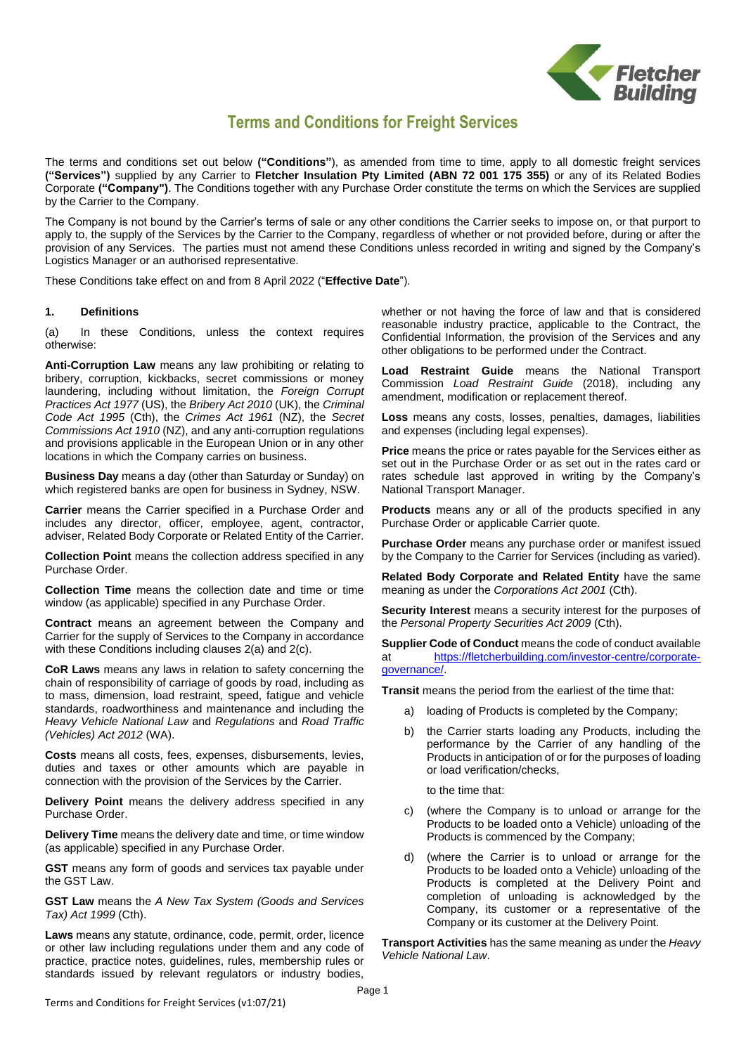

# **Terms and Conditions for Freight Services**

The terms and conditions set out below **("Conditions"**), as amended from time to time, apply to all domestic freight services **("Services")** supplied by any Carrier to **Fletcher Insulation Pty Limited (ABN 72 001 175 355)** or any of its Related Bodies Corporate **("Company")**. The Conditions together with any Purchase Order constitute the terms on which the Services are supplied by the Carrier to the Company.

The Company is not bound by the Carrier's terms of sale or any other conditions the Carrier seeks to impose on, or that purport to apply to, the supply of the Services by the Carrier to the Company, regardless of whether or not provided before, during or after the provision of any Services. The parties must not amend these Conditions unless recorded in writing and signed by the Company's Logistics Manager or an authorised representative.

These Conditions take effect on and from 8 April 2022 ("**Effective Date**").

#### **1. Definitions**

(a) In these Conditions, unless the context requires otherwise:

**Anti-Corruption Law** means any law prohibiting or relating to bribery, corruption, kickbacks, secret commissions or money laundering, including without limitation, the *Foreign Corrupt Practices Act 1977* (US), the *Bribery Act 2010* (UK), the *Criminal Code Act 1995* (Cth), the *Crimes Act 1961* (NZ), the *Secret Commissions Act 1910* (NZ), and any anti-corruption regulations and provisions applicable in the European Union or in any other locations in which the Company carries on business.

**Business Day** means a day (other than Saturday or Sunday) on which registered banks are open for business in Sydney, NSW.

**Carrier** means the Carrier specified in a Purchase Order and includes any director, officer, employee, agent, contractor, adviser, Related Body Corporate or Related Entity of the Carrier.

**Collection Point** means the collection address specified in any Purchase Order.

**Collection Time** means the collection date and time or time window (as applicable) specified in any Purchase Order.

**Contract** means an agreement between the Company and Carrier for the supply of Services to the Company in accordance with these Conditions including clauses [2\(a\)](#page-1-0) and [2\(c\).](#page-1-1)

**CoR Laws** means any laws in relation to safety concerning the chain of responsibility of carriage of goods by road, including as to mass, dimension, load restraint, speed, fatigue and vehicle standards, roadworthiness and maintenance and including the *Heavy Vehicle National Law* and *Regulations* and *Road Traffic (Vehicles) Act 2012* (WA).

**Costs** means all costs, fees, expenses, disbursements, levies, duties and taxes or other amounts which are payable in connection with the provision of the Services by the Carrier.

**Delivery Point** means the delivery address specified in any Purchase Order.

**Delivery Time** means the delivery date and time, or time window (as applicable) specified in any Purchase Order.

**GST** means any form of goods and services tax payable under the GST Law.

**GST Law** means the *A New Tax System (Goods and Services Tax) Act 1999* (Cth).

**Laws** means any statute, ordinance, code, permit, order, licence or other law including regulations under them and any code of practice, practice notes, guidelines, rules, membership rules or standards issued by relevant regulators or industry bodies, whether or not having the force of law and that is considered reasonable industry practice, applicable to the Contract, the Confidential Information, the provision of the Services and any other obligations to be performed under the Contract.

**Load Restraint Guide** means the National Transport Commission *Load Restraint Guide* (2018), including any amendment, modification or replacement thereof.

**Loss** means any costs, losses, penalties, damages, liabilities and expenses (including legal expenses).

**Price** means the price or rates payable for the Services either as set out in the Purchase Order or as set out in the rates card or rates schedule last approved in writing by the Company's National Transport Manager.

**Products** means any or all of the products specified in any Purchase Order or applicable Carrier quote.

**Purchase Order** means any purchase order or manifest issued by the Company to the Carrier for Services (including as varied).

**Related Body Corporate and Related Entity** have the same meaning as under the *Corporations Act 2001* (Cth).

**Security Interest** means a security interest for the purposes of the *Personal Property Securities Act 2009* (Cth).

**Supplier Code of Conduct** means the code of conduct available at [https://fletcherbuilding.com/investor-centre/corporate](https://fletcherbuilding.com/investor-centre/corporate-governance/)[governance/.](https://fletcherbuilding.com/investor-centre/corporate-governance/)

**Transit** means the period from the earliest of the time that:

- a) loading of Products is completed by the Company;
- b) the Carrier starts loading any Products, including the performance by the Carrier of any handling of the Products in anticipation of or for the purposes of loading or load verification/checks,

to the time that:

- (where the Company is to unload or arrange for the Products to be loaded onto a Vehicle) unloading of the Products is commenced by the Company;
- d) (where the Carrier is to unload or arrange for the Products to be loaded onto a Vehicle) unloading of the Products is completed at the Delivery Point and completion of unloading is acknowledged by the Company, its customer or a representative of the Company or its customer at the Delivery Point.

**Transport Activities** has the same meaning as under the *Heavy Vehicle National Law*.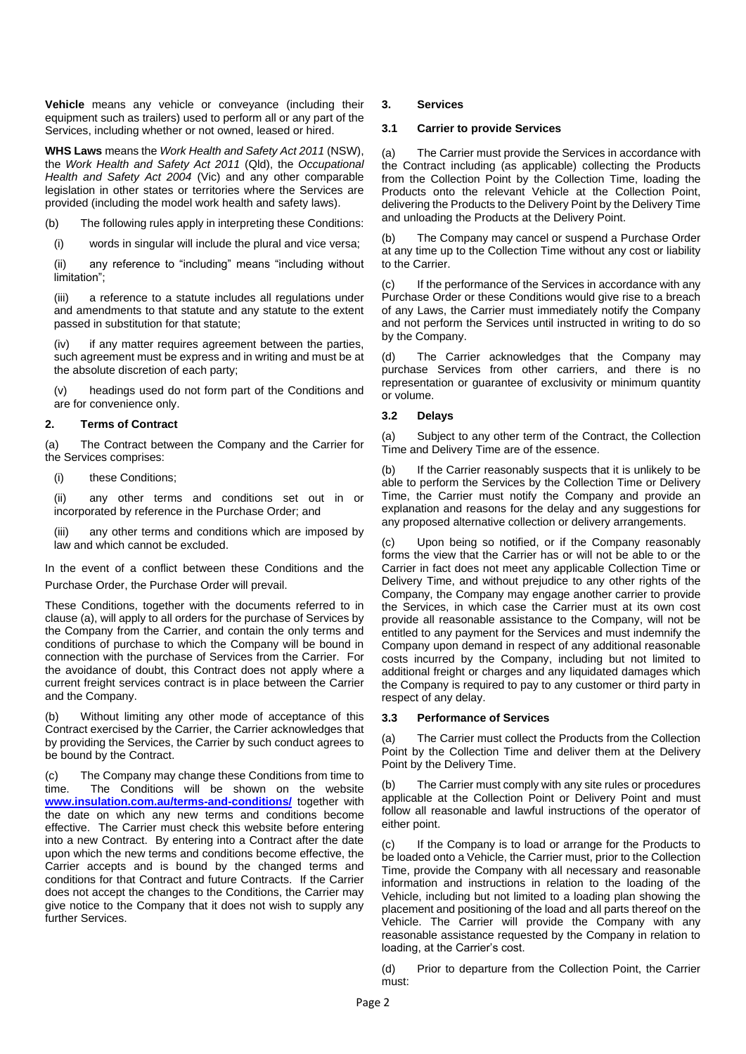**Vehicle** means any vehicle or conveyance (including their equipment such as trailers) used to perform all or any part of the Services, including whether or not owned, leased or hired.

**WHS Laws** means the *Work Health and Safety Act 2011* (NSW), the *Work Health and Safety Act 2011* (Qld), the *Occupational Health and Safety Act 2004* (Vic) and any other comparable legislation in other states or territories where the Services are provided (including the model work health and safety laws).

(b) The following rules apply in interpreting these Conditions:

(i) words in singular will include the plural and vice versa;

(ii) any reference to "including" means "including without limitation";

(iii) a reference to a statute includes all regulations under and amendments to that statute and any statute to the extent passed in substitution for that statute;

(iv) if any matter requires agreement between the parties, such agreement must be express and in writing and must be at the absolute discretion of each party;

(v) headings used do not form part of the Conditions and are for convenience only.

# **2. Terms of Contract**

<span id="page-1-0"></span>(a) The Contract between the Company and the Carrier for the Services comprises:

(i) these Conditions;

(ii) any other terms and conditions set out in or incorporated by reference in the Purchase Order; and

(iii) any other terms and conditions which are imposed by law and which cannot be excluded.

In the event of a conflict between these Conditions and the Purchase Order, the Purchase Order will prevail.

These Conditions, together with the documents referred to in clause [\(a\),](#page-1-0) will apply to all orders for the purchase of Services by the Company from the Carrier, and contain the only terms and conditions of purchase to which the Company will be bound in connection with the purchase of Services from the Carrier. For the avoidance of doubt, this Contract does not apply where a current freight services contract is in place between the Carrier and the Company.

(b) Without limiting any other mode of acceptance of this Contract exercised by the Carrier, the Carrier acknowledges that by providing the Services, the Carrier by such conduct agrees to be bound by the Contract.

<span id="page-1-1"></span>(c) The Company may change these Conditions from time to time. The Conditions will be shown on the website **[www.insulation.com.au/terms-and-conditions/](https://insulation.com.au/terms-and-conditions/)** together with the date on which any new terms and conditions become effective. The Carrier must check this website before entering into a new Contract. By entering into a Contract after the date upon which the new terms and conditions become effective, the Carrier accepts and is bound by the changed terms and conditions for that Contract and future Contracts. If the Carrier does not accept the changes to the Conditions, the Carrier may give notice to the Company that it does not wish to supply any further Services.

## **3. Services**

#### **3.1 Carrier to provide Services**

(a) The Carrier must provide the Services in accordance with the Contract including (as applicable) collecting the Products from the Collection Point by the Collection Time, loading the Products onto the relevant Vehicle at the Collection Point, delivering the Products to the Delivery Point by the Delivery Time and unloading the Products at the Delivery Point.

(b) The Company may cancel or suspend a Purchase Order at any time up to the Collection Time without any cost or liability to the Carrier.

(c) If the performance of the Services in accordance with any Purchase Order or these Conditions would give rise to a breach of any Laws, the Carrier must immediately notify the Company and not perform the Services until instructed in writing to do so by the Company.

(d) The Carrier acknowledges that the Company may purchase Services from other carriers, and there is no representation or guarantee of exclusivity or minimum quantity or volume.

# **3.2 Delays**

(a) Subject to any other term of the Contract, the Collection Time and Delivery Time are of the essence.

(b) If the Carrier reasonably suspects that it is unlikely to be able to perform the Services by the Collection Time or Delivery Time, the Carrier must notify the Company and provide an explanation and reasons for the delay and any suggestions for any proposed alternative collection or delivery arrangements.

(c) Upon being so notified, or if the Company reasonably forms the view that the Carrier has or will not be able to or the Carrier in fact does not meet any applicable Collection Time or Delivery Time, and without prejudice to any other rights of the Company, the Company may engage another carrier to provide the Services, in which case the Carrier must at its own cost provide all reasonable assistance to the Company, will not be entitled to any payment for the Services and must indemnify the Company upon demand in respect of any additional reasonable costs incurred by the Company, including but not limited to additional freight or charges and any liquidated damages which the Company is required to pay to any customer or third party in respect of any delay.

## **3.3 Performance of Services**

(a) The Carrier must collect the Products from the Collection Point by the Collection Time and deliver them at the Delivery Point by the Delivery Time.

(b) The Carrier must comply with any site rules or procedures applicable at the Collection Point or Delivery Point and must follow all reasonable and lawful instructions of the operator of either point.

(c) If the Company is to load or arrange for the Products to be loaded onto a Vehicle, the Carrier must, prior to the Collection Time, provide the Company with all necessary and reasonable information and instructions in relation to the loading of the Vehicle, including but not limited to a loading plan showing the placement and positioning of the load and all parts thereof on the Vehicle. The Carrier will provide the Company with any reasonable assistance requested by the Company in relation to loading, at the Carrier's cost.

(d) Prior to departure from the Collection Point, the Carrier must: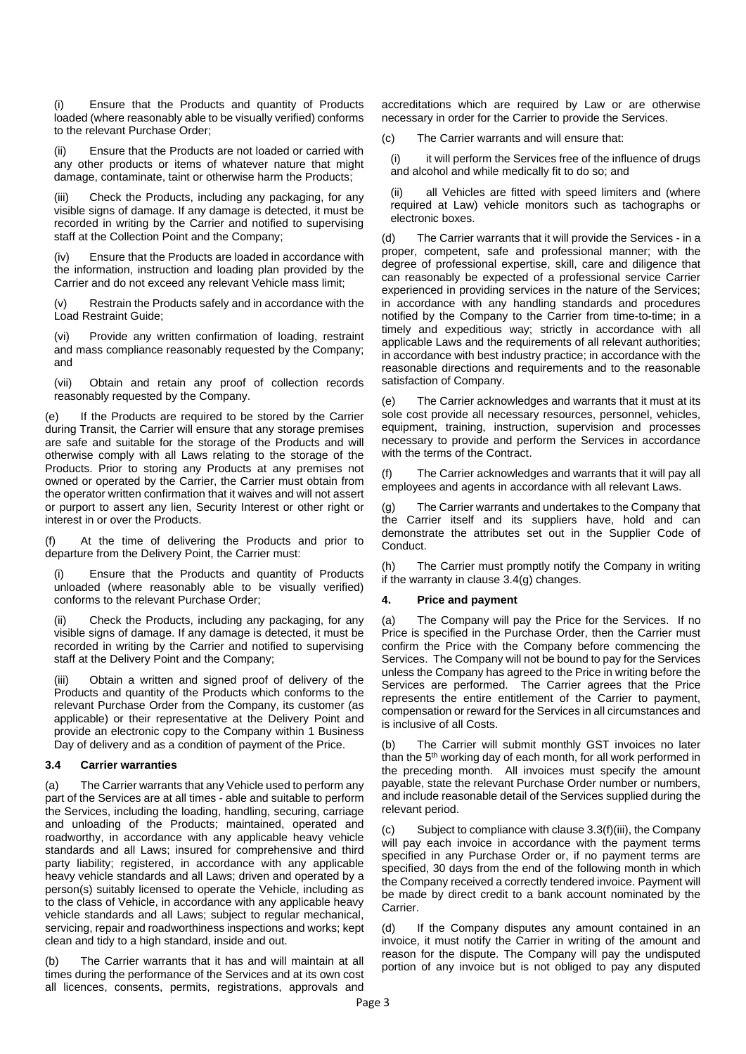(i) Ensure that the Products and quantity of Products loaded (where reasonably able to be visually verified) conforms to the relevant Purchase Order;

(ii) Ensure that the Products are not loaded or carried with any other products or items of whatever nature that might damage, contaminate, taint or otherwise harm the Products;

(iii) Check the Products, including any packaging, for any visible signs of damage. If any damage is detected, it must be recorded in writing by the Carrier and notified to supervising staff at the Collection Point and the Company;

(iv) Ensure that the Products are loaded in accordance with the information, instruction and loading plan provided by the Carrier and do not exceed any relevant Vehicle mass limit;

(v) Restrain the Products safely and in accordance with the Load Restraint Guide;

(vi) Provide any written confirmation of loading, restraint and mass compliance reasonably requested by the Company; and

(vii) Obtain and retain any proof of collection records reasonably requested by the Company.

(e) If the Products are required to be stored by the Carrier during Transit, the Carrier will ensure that any storage premises are safe and suitable for the storage of the Products and will otherwise comply with all Laws relating to the storage of the Products. Prior to storing any Products at any premises not owned or operated by the Carrier, the Carrier must obtain from the operator written confirmation that it waives and will not assert or purport to assert any lien, Security Interest or other right or interest in or over the Products.

At the time of delivering the Products and prior to departure from the Delivery Point, the Carrier must:

(i) Ensure that the Products and quantity of Products unloaded (where reasonably able to be visually verified) conforms to the relevant Purchase Order;

Check the Products, including any packaging, for any visible signs of damage. If any damage is detected, it must be recorded in writing by the Carrier and notified to supervising staff at the Delivery Point and the Company;

<span id="page-2-2"></span>(iii) Obtain a written and signed proof of delivery of the Products and quantity of the Products which conforms to the relevant Purchase Order from the Company, its customer (as applicable) or their representative at the Delivery Point and provide an electronic copy to the Company within 1 Business Day of delivery and as a condition of payment of the Price.

## <span id="page-2-0"></span>**3.4 Carrier warranties**

(a) The Carrier warrants that any Vehicle used to perform any part of the Services are at all times - able and suitable to perform the Services, including the loading, handling, securing, carriage and unloading of the Products; maintained, operated and roadworthy, in accordance with any applicable heavy vehicle standards and all Laws; insured for comprehensive and third party liability; registered, in accordance with any applicable heavy vehicle standards and all Laws; driven and operated by a person(s) suitably licensed to operate the Vehicle, including as to the class of Vehicle, in accordance with any applicable heavy vehicle standards and all Laws; subject to regular mechanical, servicing, repair and roadworthiness inspections and works; kept clean and tidy to a high standard, inside and out.

(b) The Carrier warrants that it has and will maintain at all times during the performance of the Services and at its own cost all licences, consents, permits, registrations, approvals and

accreditations which are required by Law or are otherwise necessary in order for the Carrier to provide the Services.

(c) The Carrier warrants and will ensure that:

(i) it will perform the Services free of the influence of drugs and alcohol and while medically fit to do so; and

all Vehicles are fitted with speed limiters and (where required at Law) vehicle monitors such as tachographs or electronic boxes.

(d) The Carrier warrants that it will provide the Services - in a proper, competent, safe and professional manner; with the degree of professional expertise, skill, care and diligence that can reasonably be expected of a professional service Carrier experienced in providing services in the nature of the Services; in accordance with any handling standards and procedures notified by the Company to the Carrier from time-to-time; in a timely and expeditious way; strictly in accordance with all applicable Laws and the requirements of all relevant authorities; in accordance with best industry practice; in accordance with the reasonable directions and requirements and to the reasonable satisfaction of Company.

(e) The Carrier acknowledges and warrants that it must at its sole cost provide all necessary resources, personnel, vehicles, equipment, training, instruction, supervision and processes necessary to provide and perform the Services in accordance with the terms of the Contract.

(f) The Carrier acknowledges and warrants that it will pay all employees and agents in accordance with all relevant Laws.

<span id="page-2-1"></span>(g) The Carrier warrants and undertakes to the Company that the Carrier itself and its suppliers have, hold and can demonstrate the attributes set out in the Supplier Code of Conduct.

<span id="page-2-3"></span>(h) The Carrier must promptly notify the Company in writing if the warranty in claus[e 3.4](#page-2-0)[\(g\)](#page-2-1) changes.

# **4. Price and payment**

(a) The Company will pay the Price for the Services. If no Price is specified in the Purchase Order, then the Carrier must confirm the Price with the Company before commencing the Services. The Company will not be bound to pay for the Services unless the Company has agreed to the Price in writing before the Services are performed. The Carrier agrees that the Price represents the entire entitlement of the Carrier to payment, compensation or reward for the Services in all circumstances and is inclusive of all Costs.

(b) The Carrier will submit monthly GST invoices no later than the 5th working day of each month, for all work performed in the preceding month. All invoices must specify the amount payable, state the relevant Purchase Order number or numbers, and include reasonable detail of the Services supplied during the relevant period.

(c) Subject to compliance with claus[e 3.3\(f\)\(iii\),](#page-2-2) the Company will pay each invoice in accordance with the payment terms specified in any Purchase Order or, if no payment terms are specified, 30 days from the end of the following month in which the Company received a correctly tendered invoice. Payment will be made by direct credit to a bank account nominated by the Carrier.

(d) If the Company disputes any amount contained in an invoice, it must notify the Carrier in writing of the amount and reason for the dispute. The Company will pay the undisputed portion of any invoice but is not obliged to pay any disputed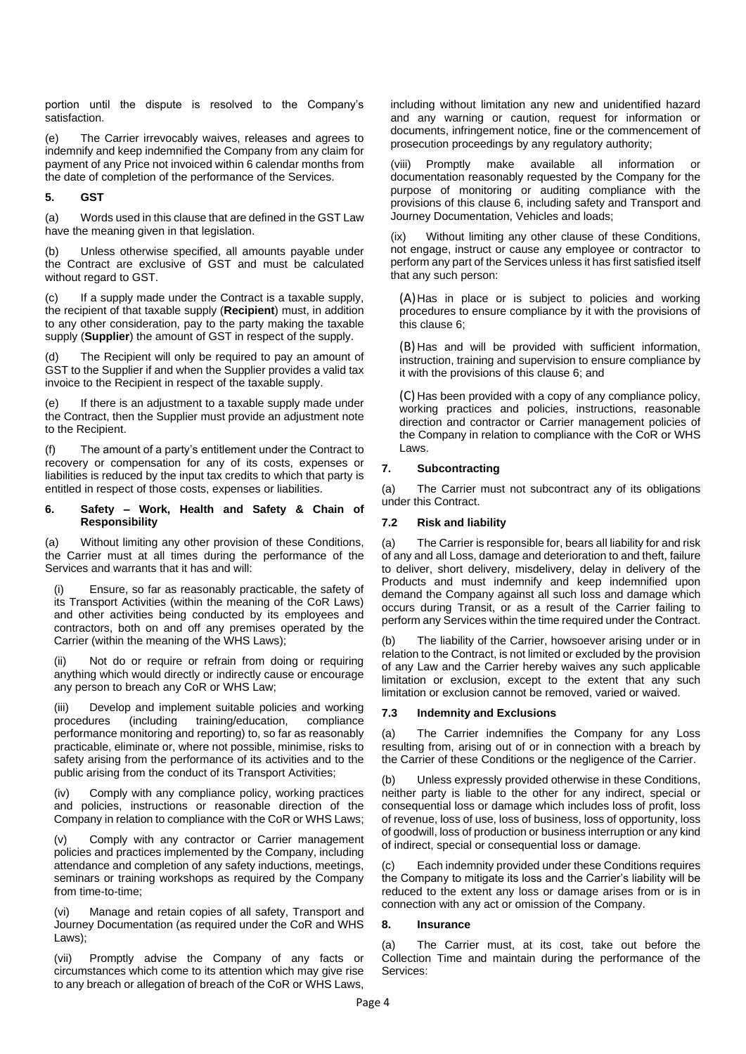portion until the dispute is resolved to the Company's satisfaction.

(e) The Carrier irrevocably waives, releases and agrees to indemnify and keep indemnified the Company from any claim for payment of any Price not invoiced within 6 calendar months from the date of completion of the performance of the Services.

# **5. GST**

(a) Words used in this clause that are defined in the GST Law have the meaning given in that legislation.

(b) Unless otherwise specified, all amounts payable under the Contract are exclusive of GST and must be calculated without regard to GST.

(c) If a supply made under the Contract is a taxable supply, the recipient of that taxable supply (**Recipient**) must, in addition to any other consideration, pay to the party making the taxable supply (**Supplier**) the amount of GST in respect of the supply.

The Recipient will only be required to pay an amount of GST to the Supplier if and when the Supplier provides a valid tax invoice to the Recipient in respect of the taxable supply.

(e) If there is an adjustment to a taxable supply made under the Contract, then the Supplier must provide an adjustment note to the Recipient.

The amount of a party's entitlement under the Contract to recovery or compensation for any of its costs, expenses or liabilities is reduced by the input tax credits to which that party is entitled in respect of those costs, expenses or liabilities.

#### <span id="page-3-0"></span>**6. Safety – Work, Health and Safety & Chain of Responsibility**

(a) Without limiting any other provision of these Conditions, the Carrier must at all times during the performance of the Services and warrants that it has and will:

Ensure, so far as reasonably practicable, the safety of its Transport Activities (within the meaning of the CoR Laws) and other activities being conducted by its employees and contractors, both on and off any premises operated by the Carrier (within the meaning of the WHS Laws);

(ii) Not do or require or refrain from doing or requiring anything which would directly or indirectly cause or encourage any person to breach any CoR or WHS Law;

(iii) Develop and implement suitable policies and working procedures (including training/education, compliance performance monitoring and reporting) to, so far as reasonably practicable, eliminate or, where not possible, minimise, risks to safety arising from the performance of its activities and to the public arising from the conduct of its Transport Activities;

(iv) Comply with any compliance policy, working practices and policies, instructions or reasonable direction of the Company in relation to compliance with the CoR or WHS Laws;

(v) Comply with any contractor or Carrier management policies and practices implemented by the Company, including attendance and completion of any safety inductions, meetings, seminars or training workshops as required by the Company from time-to-time;

(vi) Manage and retain copies of all safety, Transport and Journey Documentation (as required under the CoR and WHS Laws);

(vii) Promptly advise the Company of any facts or circumstances which come to its attention which may give rise to any breach or allegation of breach of the CoR or WHS Laws, including without limitation any new and unidentified hazard and any warning or caution, request for information or documents, infringement notice, fine or the commencement of prosecution proceedings by any regulatory authority;

(viii) Promptly make available all information or documentation reasonably requested by the Company for the purpose of monitoring or auditing compliance with the provisions of this clause [6,](#page-3-0) including safety and Transport and Journey Documentation, Vehicles and loads;

(ix) Without limiting any other clause of these Conditions, not engage, instruct or cause any employee or contractor to perform any part of the Services unless it has first satisfied itself that any such person:

(A)Has in place or is subject to policies and working procedures to ensure compliance by it with the provisions of this clause [6;](#page-3-0)

(B) Has and will be provided with sufficient information, instruction, training and supervision to ensure compliance by it with the provisions of this clause [6;](#page-3-0) and

(C) Has been provided with a copy of any compliance policy, working practices and policies, instructions, reasonable direction and contractor or Carrier management policies of the Company in relation to compliance with the CoR or WHS Laws.

# **7. Subcontracting**

(a) The Carrier must not subcontract any of its obligations under this Contract.

# **7.2 Risk and liability**

(a) The Carrier is responsible for, bears all liability for and risk of any and all Loss, damage and deterioration to and theft, failure to deliver, short delivery, misdelivery, delay in delivery of the Products and must indemnify and keep indemnified upon demand the Company against all such loss and damage which occurs during Transit, or as a result of the Carrier failing to perform any Services within the time required under the Contract.

(b) The liability of the Carrier, howsoever arising under or in relation to the Contract, is not limited or excluded by the provision of any Law and the Carrier hereby waives any such applicable limitation or exclusion, except to the extent that any such limitation or exclusion cannot be removed, varied or waived.

## **7.3 Indemnity and Exclusions**

(a) The Carrier indemnifies the Company for any Loss resulting from, arising out of or in connection with a breach by the Carrier of these Conditions or the negligence of the Carrier.

(b) Unless expressly provided otherwise in these Conditions, neither party is liable to the other for any indirect, special or consequential loss or damage which includes loss of profit, loss of revenue, loss of use, loss of business, loss of opportunity, loss of goodwill, loss of production or business interruption or any kind of indirect, special or consequential loss or damage.

(c) Each indemnity provided under these Conditions requires the Company to mitigate its loss and the Carrier's liability will be reduced to the extent any loss or damage arises from or is in connection with any act or omission of the Company.

# <span id="page-3-1"></span>**8. Insurance**

(a) The Carrier must, at its cost, take out before the Collection Time and maintain during the performance of the Services: